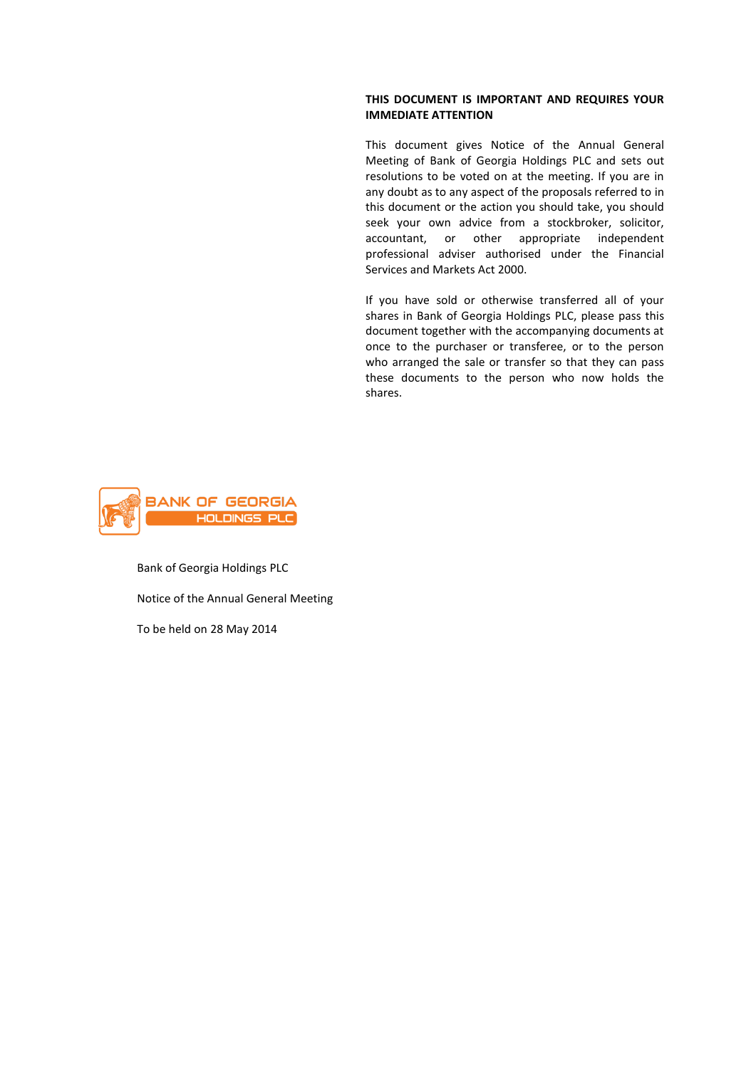### **THIS DOCUMENT IS IMPORTANT AND REQUIRES YOUR IMMEDIATE ATTENTION**

This document gives Notice of the Annual General Meeting of Bank of Georgia Holdings PLC and sets out resolutions to be voted on at the meeting. If you are in any doubt as to any aspect of the proposals referred to in this document or the action you should take, you should seek your own advice from a stockbroker, solicitor, accountant, or other appropriate independent professional adviser authorised under the Financial Services and Markets Act 2000.

If you have sold or otherwise transferred all of your shares in Bank of Georgia Holdings PLC, please pass this document together with the accompanying documents at once to the purchaser or transferee, or to the person who arranged the sale or transfer so that they can pass these documents to the person who now holds the shares.



Bank of Georgia Holdings PLC Notice of the Annual General Meeting To be held on 28 May 2014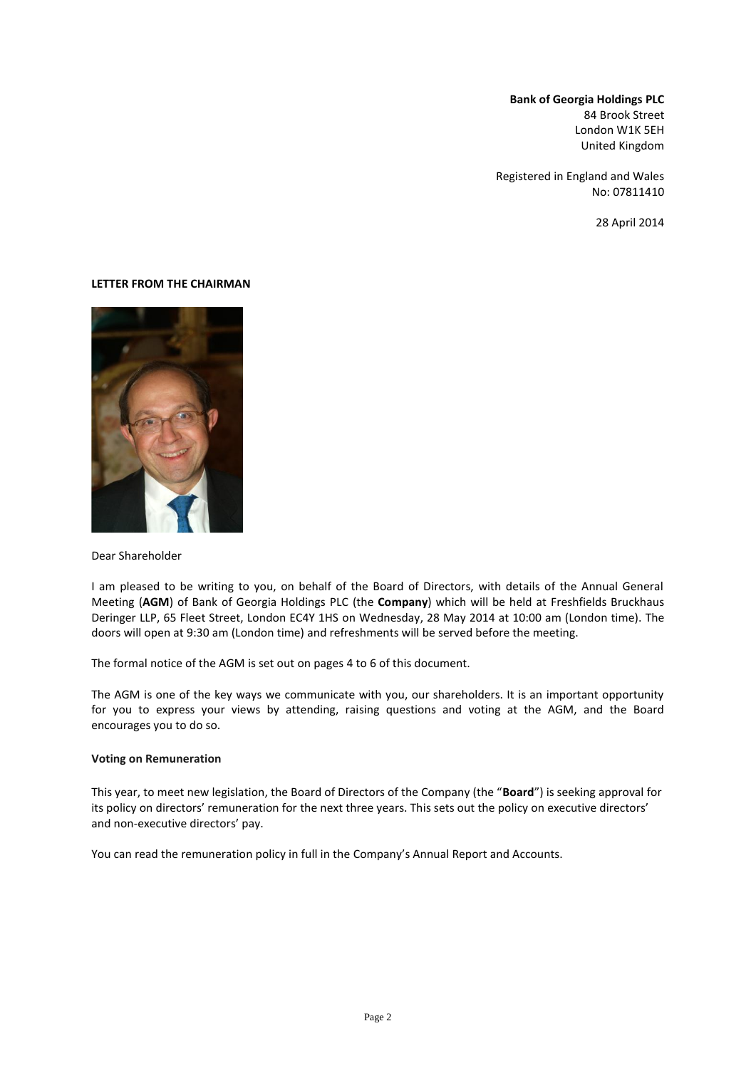**Bank of Georgia Holdings PLC** 84 Brook Street London W1K 5EH United Kingdom

Registered in England and Wales No: 07811410

28 April 2014

#### **LETTER FROM THE CHAIRMAN**



Dear Shareholder

I am pleased to be writing to you, on behalf of the Board of Directors, with details of the Annual General Meeting (**AGM**) of Bank of Georgia Holdings PLC (the **Company**) which will be held at Freshfields Bruckhaus Deringer LLP, 65 Fleet Street, London EC4Y 1HS on Wednesday, 28 May 2014 at 10:00 am (London time). The doors will open at 9:30 am (London time) and refreshments will be served before the meeting.

The formal notice of the AGM is set out on pages 4 to 6 of this document.

The AGM is one of the key ways we communicate with you, our shareholders. It is an important opportunity for you to express your views by attending, raising questions and voting at the AGM, and the Board encourages you to do so.

#### **Voting on Remuneration**

This year, to meet new legislation, the Board of Directors of the Company (the "**Board**") is seeking approval for its policy on directors' remuneration for the next three years. This sets out the policy on executive directors' and non-executive directors' pay.

You can read the remuneration policy in full in the Company's Annual Report and Accounts.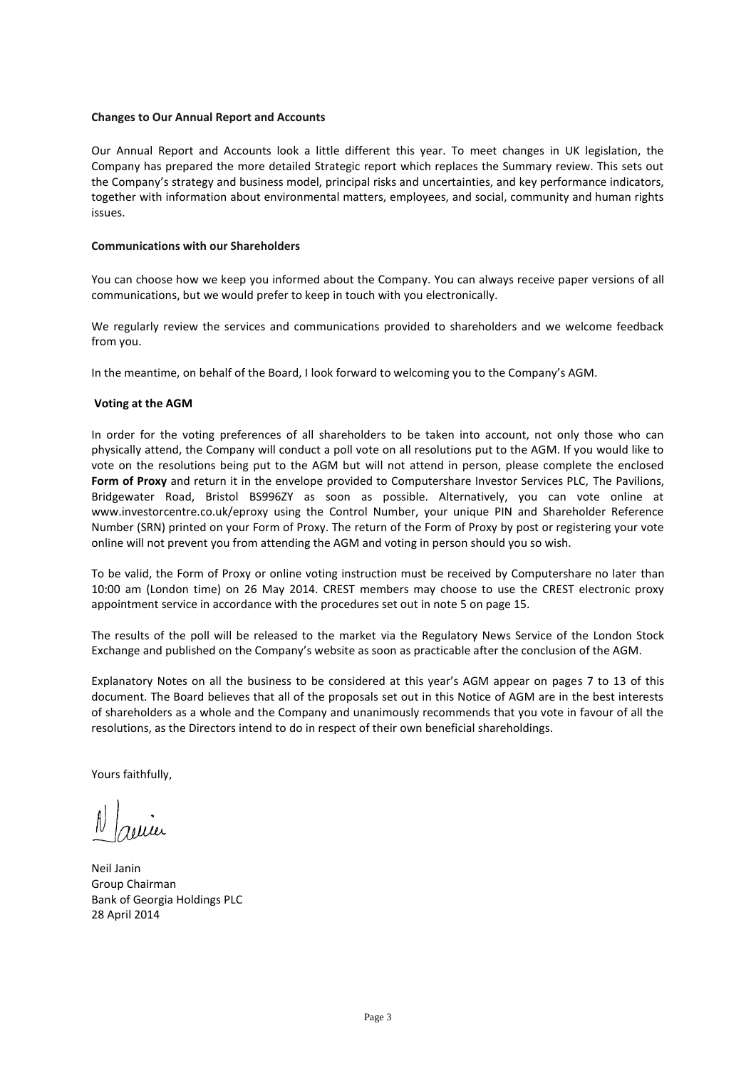#### **Changes to Our Annual Report and Accounts**

Our Annual Report and Accounts look a little different this year. To meet changes in UK legislation, the Company has prepared the more detailed Strategic report which replaces the Summary review. This sets out the Company's strategy and business model, principal risks and uncertainties, and key performance indicators, together with information about environmental matters, employees, and social, community and human rights issues.

### **Communications with our Shareholders**

You can choose how we keep you informed about the Company. You can always receive paper versions of all communications, but we would prefer to keep in touch with you electronically.

We regularly review the services and communications provided to shareholders and we welcome feedback from you.

In the meantime, on behalf of the Board, I look forward to welcoming you to the Company's AGM.

### **Voting at the AGM**

In order for the voting preferences of all shareholders to be taken into account, not only those who can physically attend, the Company will conduct a poll vote on all resolutions put to the AGM. If you would like to vote on the resolutions being put to the AGM but will not attend in person, please complete the enclosed **Form of Proxy** and return it in the envelope provided to Computershare Investor Services PLC, The Pavilions, Bridgewater Road, Bristol BS996ZY as soon as possible. Alternatively, you can vote online at www.investorcentre.co.uk/eproxy using the Control Number, your unique PIN and Shareholder Reference Number (SRN) printed on your Form of Proxy. The return of the Form of Proxy by post or registering your vote online will not prevent you from attending the AGM and voting in person should you so wish.

To be valid, the Form of Proxy or online voting instruction must be received by Computershare no later than 10:00 am (London time) on 26 May 2014. CREST members may choose to use the CREST electronic proxy appointment service in accordance with the procedures set out in note 5 on page 15.

The results of the poll will be released to the market via the Regulatory News Service of the London Stock Exchange and published on the Company's website as soon as practicable after the conclusion of the AGM.

Explanatory Notes on all the business to be considered at this year's AGM appear on pages 7 to 13 of this document. The Board believes that all of the proposals set out in this Notice of AGM are in the best interests of shareholders as a whole and the Company and unanimously recommends that you vote in favour of all the resolutions, as the Directors intend to do in respect of their own beneficial shareholdings.

Yours faithfully,

Neil Janin Group Chairman Bank of Georgia Holdings PLC 28 April 2014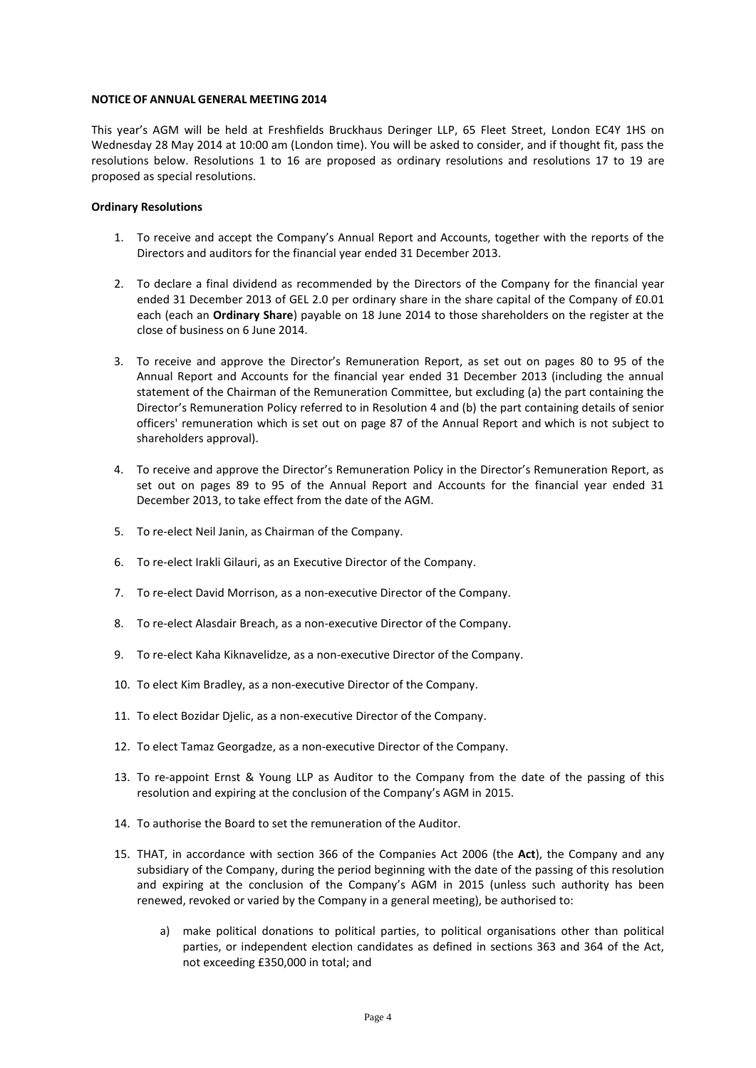#### **NOTICE OF ANNUAL GENERAL MEETING 2014**

This year's AGM will be held at Freshfields Bruckhaus Deringer LLP, 65 Fleet Street, London EC4Y 1HS on Wednesday 28 May 2014 at 10:00 am (London time). You will be asked to consider, and if thought fit, pass the resolutions below. Resolutions 1 to 16 are proposed as ordinary resolutions and resolutions 17 to 19 are proposed as special resolutions.

### **Ordinary Resolutions**

- 1. To receive and accept the Company's Annual Report and Accounts, together with the reports of the Directors and auditors for the financial year ended 31 December 2013.
- 2. To declare a final dividend as recommended by the Directors of the Company for the financial year ended 31 December 2013 of GEL 2.0 per ordinary share in the share capital of the Company of £0.01 each (each an **Ordinary Share**) payable on 18 June 2014 to those shareholders on the register at the close of business on 6 June 2014.
- 3. To receive and approve the Director's Remuneration Report, as set out on pages 80 to 95 of the Annual Report and Accounts for the financial year ended 31 December 2013 (including the annual statement of the Chairman of the Remuneration Committee, but excluding (a) the part containing the Director's Remuneration Policy referred to in Resolution 4 and (b) the part containing details of senior officers' remuneration which is set out on page 87 of the Annual Report and which is not subject to shareholders approval).
- 4. To receive and approve the Director's Remuneration Policy in the Director's Remuneration Report, as set out on pages 89 to 95 of the Annual Report and Accounts for the financial year ended 31 December 2013, to take effect from the date of the AGM.
- 5. To re-elect Neil Janin, as Chairman of the Company.
- 6. To re-elect Irakli Gilauri, as an Executive Director of the Company.
- 7. To re-elect David Morrison, as a non-executive Director of the Company.
- 8. To re-elect Alasdair Breach, as a non-executive Director of the Company.
- 9. To re-elect Kaha Kiknavelidze, as a non-executive Director of the Company.
- 10. To elect Kim Bradley, as a non-executive Director of the Company.
- 11. To elect Bozidar Djelic, as a non-executive Director of the Company.
- 12. To elect Tamaz Georgadze, as a non-executive Director of the Company.
- 13. To re-appoint Ernst & Young LLP as Auditor to the Company from the date of the passing of this resolution and expiring at the conclusion of the Company's AGM in 2015.
- 14. To authorise the Board to set the remuneration of the Auditor.
- 15. THAT, in accordance with section 366 of the Companies Act 2006 (the **Act**), the Company and any subsidiary of the Company, during the period beginning with the date of the passing of this resolution and expiring at the conclusion of the Company's AGM in 2015 (unless such authority has been renewed, revoked or varied by the Company in a general meeting), be authorised to:
	- a) make political donations to political parties, to political organisations other than political parties, or independent election candidates as defined in sections 363 and 364 of the Act, not exceeding £350,000 in total; and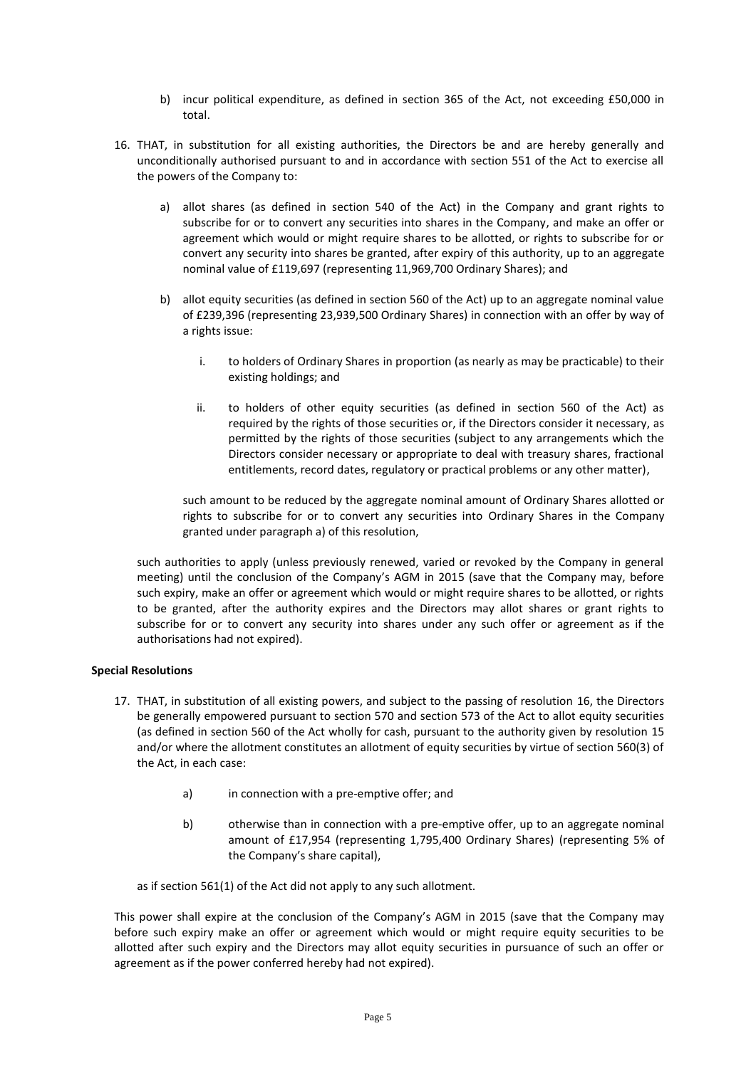- b) incur political expenditure, as defined in section 365 of the Act, not exceeding £50,000 in total.
- 16. THAT, in substitution for all existing authorities, the Directors be and are hereby generally and unconditionally authorised pursuant to and in accordance with section 551 of the Act to exercise all the powers of the Company to:
	- a) allot shares (as defined in section 540 of the Act) in the Company and grant rights to subscribe for or to convert any securities into shares in the Company, and make an offer or agreement which would or might require shares to be allotted, or rights to subscribe for or convert any security into shares be granted, after expiry of this authority, up to an aggregate nominal value of £119,697 (representing 11,969,700 Ordinary Shares); and
	- b) allot equity securities (as defined in section 560 of the Act) up to an aggregate nominal value of £239,396 (representing 23,939,500 Ordinary Shares) in connection with an offer by way of a rights issue:
		- i. to holders of Ordinary Shares in proportion (as nearly as may be practicable) to their existing holdings; and
		- ii. to holders of other equity securities (as defined in section 560 of the Act) as required by the rights of those securities or, if the Directors consider it necessary, as permitted by the rights of those securities (subject to any arrangements which the Directors consider necessary or appropriate to deal with treasury shares, fractional entitlements, record dates, regulatory or practical problems or any other matter),

such amount to be reduced by the aggregate nominal amount of Ordinary Shares allotted or rights to subscribe for or to convert any securities into Ordinary Shares in the Company granted under paragraph a) of this resolution,

such authorities to apply (unless previously renewed, varied or revoked by the Company in general meeting) until the conclusion of the Company's AGM in 2015 (save that the Company may, before such expiry, make an offer or agreement which would or might require shares to be allotted, or rights to be granted, after the authority expires and the Directors may allot shares or grant rights to subscribe for or to convert any security into shares under any such offer or agreement as if the authorisations had not expired).

## **Special Resolutions**

- 17. THAT, in substitution of all existing powers, and subject to the passing of resolution 16, the Directors be generally empowered pursuant to section 570 and section 573 of the Act to allot equity securities (as defined in section 560 of the Act wholly for cash, pursuant to the authority given by resolution 15 and/or where the allotment constitutes an allotment of equity securities by virtue of section 560(3) of the Act, in each case:
	- a) in connection with a pre-emptive offer; and
	- b) otherwise than in connection with a pre-emptive offer, up to an aggregate nominal amount of £17,954 (representing 1,795,400 Ordinary Shares) (representing 5% of the Company's share capital),

as if section 561(1) of the Act did not apply to any such allotment.

This power shall expire at the conclusion of the Company's AGM in 2015 (save that the Company may before such expiry make an offer or agreement which would or might require equity securities to be allotted after such expiry and the Directors may allot equity securities in pursuance of such an offer or agreement as if the power conferred hereby had not expired).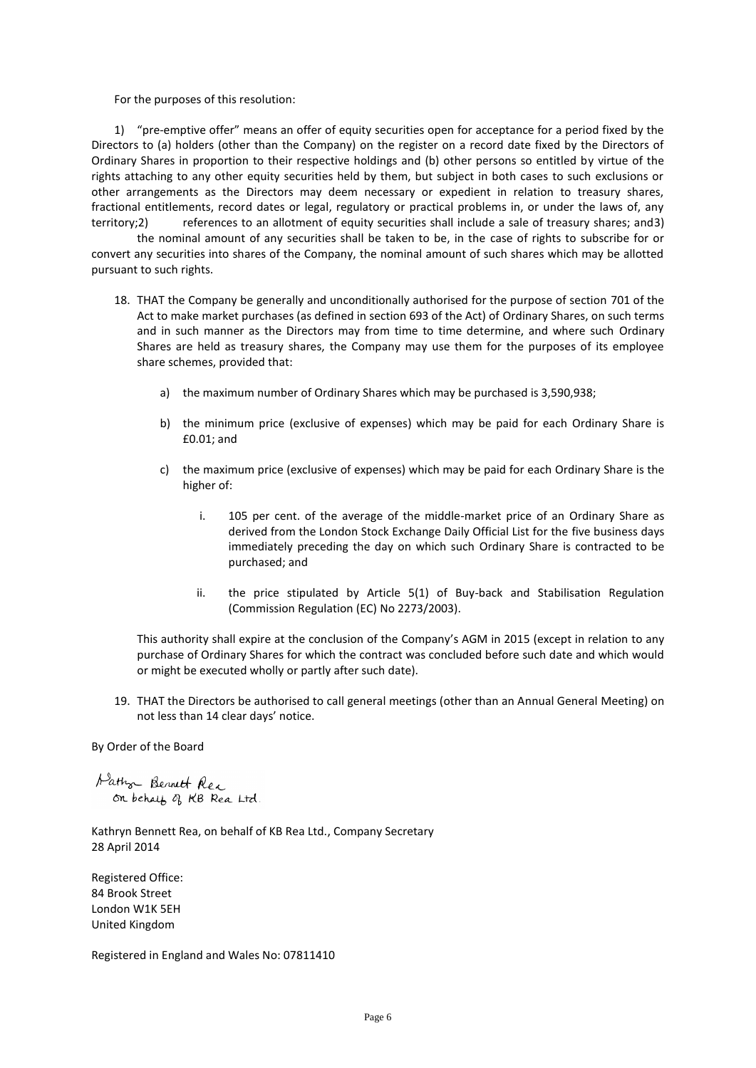For the purposes of this resolution:

1) "pre-emptive offer" means an offer of equity securities open for acceptance for a period fixed by the Directors to (a) holders (other than the Company) on the register on a record date fixed by the Directors of Ordinary Shares in proportion to their respective holdings and (b) other persons so entitled by virtue of the rights attaching to any other equity securities held by them, but subject in both cases to such exclusions or other arrangements as the Directors may deem necessary or expedient in relation to treasury shares, fractional entitlements, record dates or legal, regulatory or practical problems in, or under the laws of, any territory;2) references to an allotment of equity securities shall include a sale of treasury shares; and3)

the nominal amount of any securities shall be taken to be, in the case of rights to subscribe for or convert any securities into shares of the Company, the nominal amount of such shares which may be allotted pursuant to such rights.

- 18. THAT the Company be generally and unconditionally authorised for the purpose of section 701 of the Act to make market purchases (as defined in section 693 of the Act) of Ordinary Shares, on such terms and in such manner as the Directors may from time to time determine, and where such Ordinary Shares are held as treasury shares, the Company may use them for the purposes of its employee share schemes, provided that:
	- a) the maximum number of Ordinary Shares which may be purchased is 3,590,938;
	- b) the minimum price (exclusive of expenses) which may be paid for each Ordinary Share is £0.01; and
	- c) the maximum price (exclusive of expenses) which may be paid for each Ordinary Share is the higher of:
		- i. 105 per cent. of the average of the middle-market price of an Ordinary Share as derived from the London Stock Exchange Daily Official List for the five business days immediately preceding the day on which such Ordinary Share is contracted to be purchased; and
		- ii. the price stipulated by Article 5(1) of Buy-back and Stabilisation Regulation (Commission Regulation (EC) No 2273/2003).

This authority shall expire at the conclusion of the Company's AGM in 2015 (except in relation to any purchase of Ordinary Shares for which the contract was concluded before such date and which would or might be executed wholly or partly after such date).

19. THAT the Directors be authorised to call general meetings (other than an Annual General Meeting) on not less than 14 clear days' notice.

By Order of the Board

Hathor Bennett Rea on behalf of KB Rea Ltd.

Kathryn Bennett Rea, on behalf of KB Rea Ltd., Company Secretary 28 April 2014

Registered Office: 84 Brook Street London W1K 5EH United Kingdom

Registered in England and Wales No: 07811410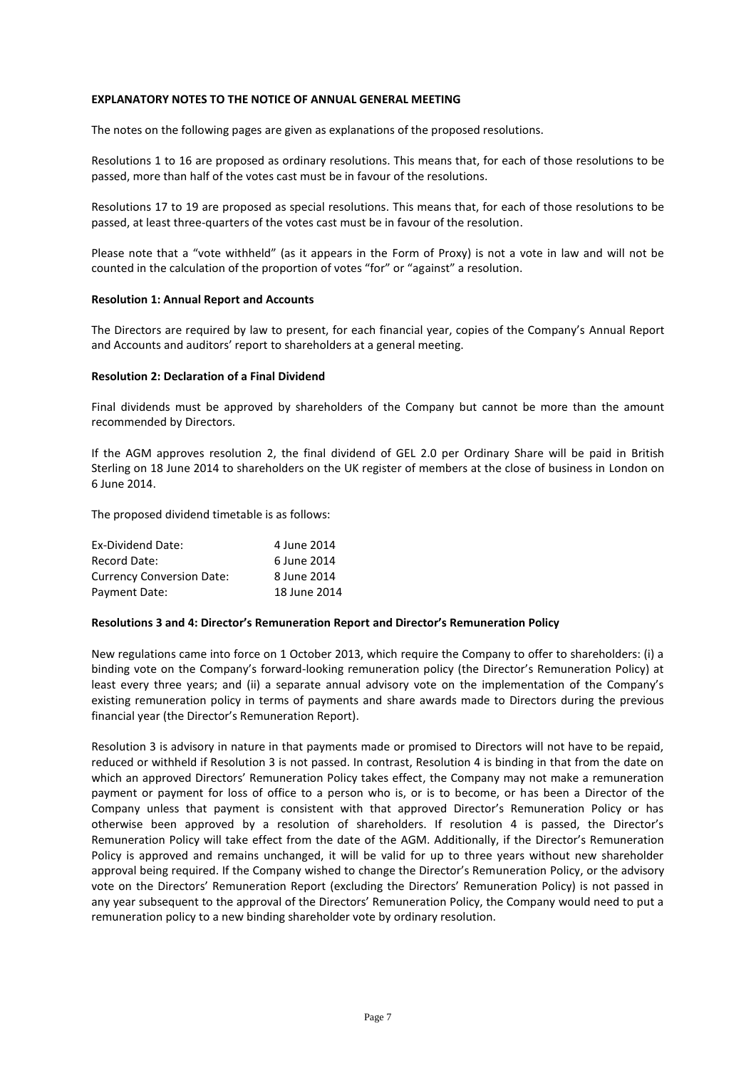### **EXPLANATORY NOTES TO THE NOTICE OF ANNUAL GENERAL MEETING**

The notes on the following pages are given as explanations of the proposed resolutions.

Resolutions 1 to 16 are proposed as ordinary resolutions. This means that, for each of those resolutions to be passed, more than half of the votes cast must be in favour of the resolutions.

Resolutions 17 to 19 are proposed as special resolutions. This means that, for each of those resolutions to be passed, at least three-quarters of the votes cast must be in favour of the resolution.

Please note that a "vote withheld" (as it appears in the Form of Proxy) is not a vote in law and will not be counted in the calculation of the proportion of votes "for" or "against" a resolution.

### **Resolution 1: Annual Report and Accounts**

The Directors are required by law to present, for each financial year, copies of the Company's Annual Report and Accounts and auditors' report to shareholders at a general meeting.

### **Resolution 2: Declaration of a Final Dividend**

Final dividends must be approved by shareholders of the Company but cannot be more than the amount recommended by Directors.

If the AGM approves resolution 2, the final dividend of GEL 2.0 per Ordinary Share will be paid in British Sterling on 18 June 2014 to shareholders on the UK register of members at the close of business in London on 6 June 2014.

The proposed dividend timetable is as follows:

| Ex-Dividend Date:                | 4 June 2014  |
|----------------------------------|--------------|
| Record Date:                     | 6 June 2014  |
| <b>Currency Conversion Date:</b> | 8 June 2014  |
| Payment Date:                    | 18 June 2014 |

#### **Resolutions 3 and 4: Director's Remuneration Report and Director's Remuneration Policy**

New regulations came into force on 1 October 2013, which require the Company to offer to shareholders: (i) a binding vote on the Company's forward-looking remuneration policy (the Director's Remuneration Policy) at least every three years; and (ii) a separate annual advisory vote on the implementation of the Company's existing remuneration policy in terms of payments and share awards made to Directors during the previous financial year (the Director's Remuneration Report).

Resolution 3 is advisory in nature in that payments made or promised to Directors will not have to be repaid, reduced or withheld if Resolution 3 is not passed. In contrast, Resolution 4 is binding in that from the date on which an approved Directors' Remuneration Policy takes effect, the Company may not make a remuneration payment or payment for loss of office to a person who is, or is to become, or has been a Director of the Company unless that payment is consistent with that approved Director's Remuneration Policy or has otherwise been approved by a resolution of shareholders. If resolution 4 is passed, the Director's Remuneration Policy will take effect from the date of the AGM. Additionally, if the Director's Remuneration Policy is approved and remains unchanged, it will be valid for up to three years without new shareholder approval being required. If the Company wished to change the Director's Remuneration Policy, or the advisory vote on the Directors' Remuneration Report (excluding the Directors' Remuneration Policy) is not passed in any year subsequent to the approval of the Directors' Remuneration Policy, the Company would need to put a remuneration policy to a new binding shareholder vote by ordinary resolution.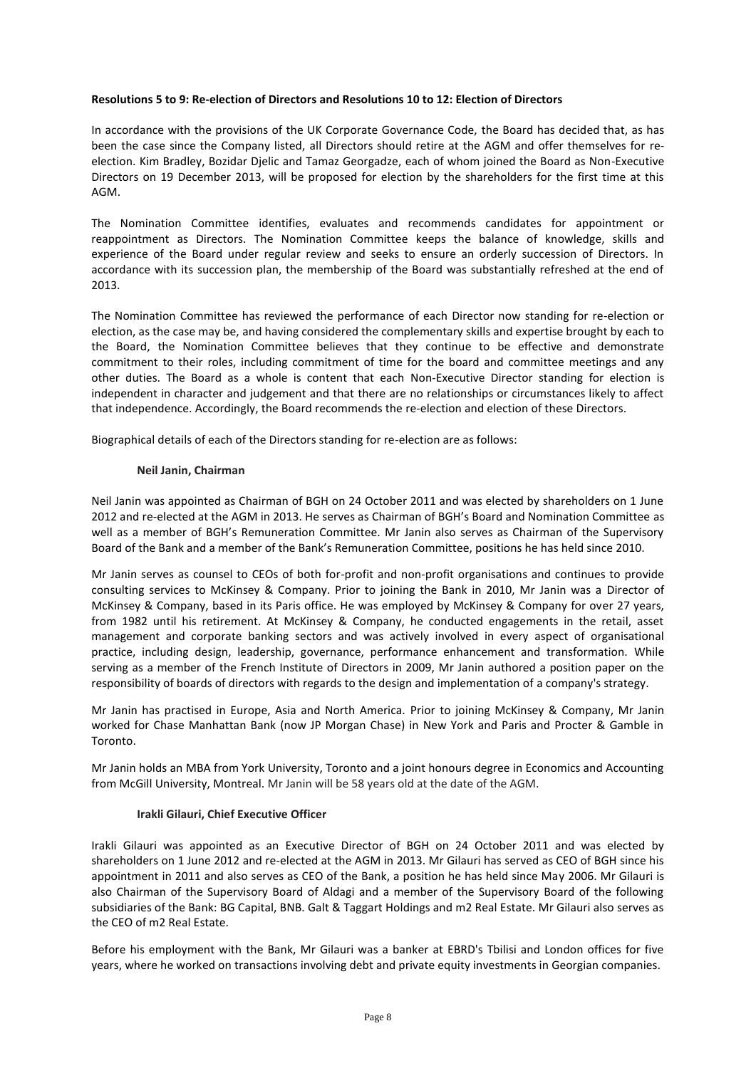### **Resolutions 5 to 9: Re-election of Directors and Resolutions 10 to 12: Election of Directors**

In accordance with the provisions of the UK Corporate Governance Code, the Board has decided that, as has been the case since the Company listed, all Directors should retire at the AGM and offer themselves for reelection. Kim Bradley, Bozidar Djelic and Tamaz Georgadze, each of whom joined the Board as Non-Executive Directors on 19 December 2013, will be proposed for election by the shareholders for the first time at this AGM.

The Nomination Committee identifies, evaluates and recommends candidates for appointment or reappointment as Directors. The Nomination Committee keeps the balance of knowledge, skills and experience of the Board under regular review and seeks to ensure an orderly succession of Directors. In accordance with its succession plan, the membership of the Board was substantially refreshed at the end of 2013.

The Nomination Committee has reviewed the performance of each Director now standing for re-election or election, as the case may be, and having considered the complementary skills and expertise brought by each to the Board, the Nomination Committee believes that they continue to be effective and demonstrate commitment to their roles, including commitment of time for the board and committee meetings and any other duties. The Board as a whole is content that each Non-Executive Director standing for election is independent in character and judgement and that there are no relationships or circumstances likely to affect that independence. Accordingly, the Board recommends the re-election and election of these Directors.

Biographical details of each of the Directors standing for re-election are as follows:

#### **Neil Janin, Chairman**

Neil Janin was appointed as Chairman of BGH on 24 October 2011 and was elected by shareholders on 1 June 2012 and re-elected at the AGM in 2013. He serves as Chairman of BGH's Board and Nomination Committee as well as a member of BGH's Remuneration Committee. Mr Janin also serves as Chairman of the Supervisory Board of the Bank and a member of the Bank's Remuneration Committee, positions he has held since 2010.

Mr Janin serves as counsel to CEOs of both for-profit and non-profit organisations and continues to provide consulting services to McKinsey & Company. Prior to joining the Bank in 2010, Mr Janin was a Director of McKinsey & Company, based in its Paris office. He was employed by McKinsey & Company for over 27 years, from 1982 until his retirement. At McKinsey & Company, he conducted engagements in the retail, asset management and corporate banking sectors and was actively involved in every aspect of organisational practice, including design, leadership, governance, performance enhancement and transformation. While serving as a member of the French Institute of Directors in 2009, Mr Janin authored a position paper on the responsibility of boards of directors with regards to the design and implementation of a company's strategy.

Mr Janin has practised in Europe, Asia and North America. Prior to joining McKinsey & Company, Mr Janin worked for Chase Manhattan Bank (now JP Morgan Chase) in New York and Paris and Procter & Gamble in Toronto.

Mr Janin holds an MBA from York University, Toronto and a joint honours degree in Economics and Accounting from McGill University, Montreal. Mr Janin will be 58 years old at the date of the AGM.

## **Irakli Gilauri, Chief Executive Officer**

Irakli Gilauri was appointed as an Executive Director of BGH on 24 October 2011 and was elected by shareholders on 1 June 2012 and re-elected at the AGM in 2013. Mr Gilauri has served as CEO of BGH since his appointment in 2011 and also serves as CEO of the Bank, a position he has held since May 2006. Mr Gilauri is also Chairman of the Supervisory Board of Aldagi and a member of the Supervisory Board of the following subsidiaries of the Bank: BG Capital, BNB. Galt & Taggart Holdings and m2 Real Estate. Mr Gilauri also serves as the CEO of m2 Real Estate.

Before his employment with the Bank, Mr Gilauri was a banker at EBRD's Tbilisi and London offices for five years, where he worked on transactions involving debt and private equity investments in Georgian companies.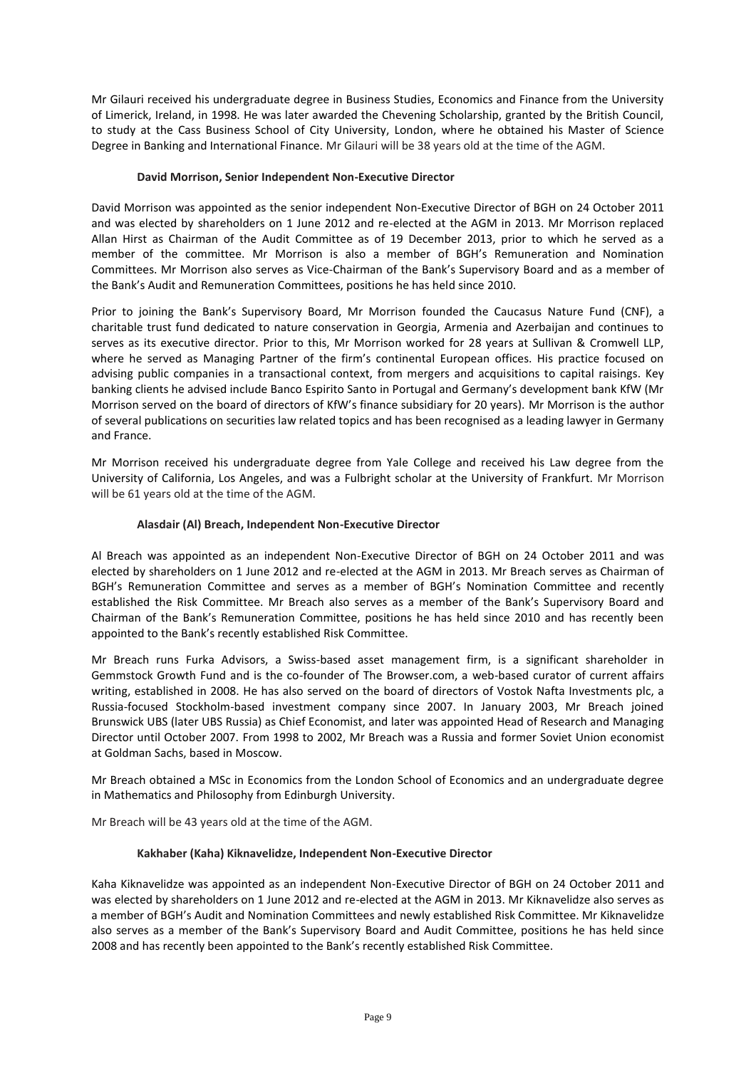Mr Gilauri received his undergraduate degree in Business Studies, Economics and Finance from the University of Limerick, Ireland, in 1998. He was later awarded the Chevening Scholarship, granted by the British Council, to study at the Cass Business School of City University, London, where he obtained his Master of Science Degree in Banking and International Finance. Mr Gilauri will be 38 years old at the time of the AGM.

## **David Morrison, Senior Independent Non-Executive Director**

David Morrison was appointed as the senior independent Non-Executive Director of BGH on 24 October 2011 and was elected by shareholders on 1 June 2012 and re-elected at the AGM in 2013. Mr Morrison replaced Allan Hirst as Chairman of the Audit Committee as of 19 December 2013, prior to which he served as a member of the committee. Mr Morrison is also a member of BGH's Remuneration and Nomination Committees. Mr Morrison also serves as Vice-Chairman of the Bank's Supervisory Board and as a member of the Bank's Audit and Remuneration Committees, positions he has held since 2010.

Prior to joining the Bank's Supervisory Board, Mr Morrison founded the Caucasus Nature Fund (CNF), a charitable trust fund dedicated to nature conservation in Georgia, Armenia and Azerbaijan and continues to serves as its executive director. Prior to this, Mr Morrison worked for 28 years at Sullivan & Cromwell LLP, where he served as Managing Partner of the firm's continental European offices. His practice focused on advising public companies in a transactional context, from mergers and acquisitions to capital raisings. Key banking clients he advised include Banco Espirito Santo in Portugal and Germany's development bank KfW (Mr Morrison served on the board of directors of KfW's finance subsidiary for 20 years). Mr Morrison is the author of several publications on securities law related topics and has been recognised as a leading lawyer in Germany and France.

Mr Morrison received his undergraduate degree from Yale College and received his Law degree from the University of California, Los Angeles, and was a Fulbright scholar at the University of Frankfurt. Mr Morrison will be 61 years old at the time of the AGM.

# **Alasdair (Al) Breach, Independent Non-Executive Director**

Al Breach was appointed as an independent Non-Executive Director of BGH on 24 October 2011 and was elected by shareholders on 1 June 2012 and re-elected at the AGM in 2013. Mr Breach serves as Chairman of BGH's Remuneration Committee and serves as a member of BGH's Nomination Committee and recently established the Risk Committee. Mr Breach also serves as a member of the Bank's Supervisory Board and Chairman of the Bank's Remuneration Committee, positions he has held since 2010 and has recently been appointed to the Bank's recently established Risk Committee.

Mr Breach runs Furka Advisors, a Swiss-based asset management firm, is a significant shareholder in Gemmstock Growth Fund and is the co-founder of The Browser.com, a web-based curator of current affairs writing, established in 2008. He has also served on the board of directors of Vostok Nafta Investments plc, a Russia-focused Stockholm-based investment company since 2007. In January 2003, Mr Breach joined Brunswick UBS (later UBS Russia) as Chief Economist, and later was appointed Head of Research and Managing Director until October 2007. From 1998 to 2002, Mr Breach was a Russia and former Soviet Union economist at Goldman Sachs, based in Moscow.

Mr Breach obtained a MSc in Economics from the London School of Economics and an undergraduate degree in Mathematics and Philosophy from Edinburgh University.

Mr Breach will be 43 years old at the time of the AGM.

## **Kakhaber (Kaha) Kiknavelidze, Independent Non-Executive Director**

Kaha Kiknavelidze was appointed as an independent Non-Executive Director of BGH on 24 October 2011 and was elected by shareholders on 1 June 2012 and re-elected at the AGM in 2013. Mr Kiknavelidze also serves as a member of BGH's Audit and Nomination Committees and newly established Risk Committee. Mr Kiknavelidze also serves as a member of the Bank's Supervisory Board and Audit Committee, positions he has held since 2008 and has recently been appointed to the Bank's recently established Risk Committee.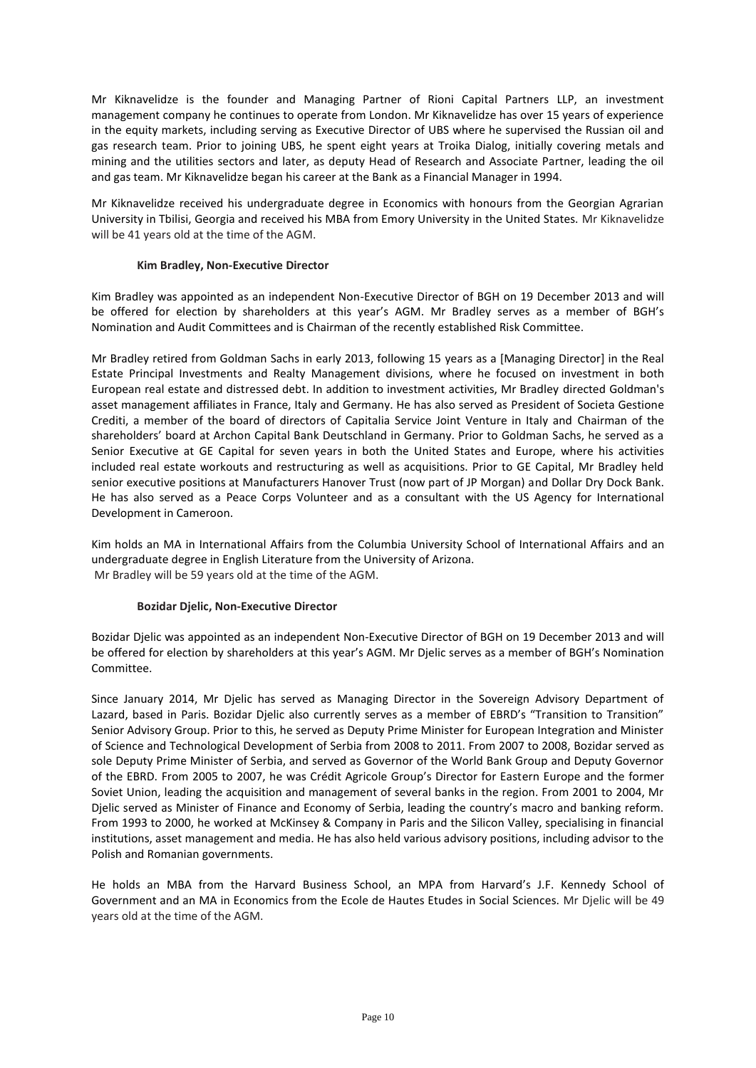Mr Kiknavelidze is the founder and Managing Partner of Rioni Capital Partners LLP, an investment management company he continues to operate from London. Mr Kiknavelidze has over 15 years of experience in the equity markets, including serving as Executive Director of UBS where he supervised the Russian oil and gas research team. Prior to joining UBS, he spent eight years at Troika Dialog, initially covering metals and mining and the utilities sectors and later, as deputy Head of Research and Associate Partner, leading the oil and gas team. Mr Kiknavelidze began his career at the Bank as a Financial Manager in 1994.

Mr Kiknavelidze received his undergraduate degree in Economics with honours from the Georgian Agrarian University in Tbilisi, Georgia and received his MBA from Emory University in the United States. Mr Kiknavelidze will be 41 years old at the time of the AGM.

## **Kim Bradley, Non-Executive Director**

Kim Bradley was appointed as an independent Non-Executive Director of BGH on 19 December 2013 and will be offered for election by shareholders at this year's AGM. Mr Bradley serves as a member of BGH's Nomination and Audit Committees and is Chairman of the recently established Risk Committee.

Mr Bradley retired from Goldman Sachs in early 2013, following 15 years as a [Managing Director] in the Real Estate Principal Investments and Realty Management divisions, where he focused on investment in both European real estate and distressed debt. In addition to investment activities, Mr Bradley directed Goldman's asset management affiliates in France, Italy and Germany. He has also served as President of Societa Gestione Crediti, a member of the board of directors of Capitalia Service Joint Venture in Italy and Chairman of the shareholders' board at Archon Capital Bank Deutschland in Germany. Prior to Goldman Sachs, he served as a Senior Executive at GE Capital for seven years in both the United States and Europe, where his activities included real estate workouts and restructuring as well as acquisitions. Prior to GE Capital, Mr Bradley held senior executive positions at Manufacturers Hanover Trust (now part of JP Morgan) and Dollar Dry Dock Bank. He has also served as a Peace Corps Volunteer and as a consultant with the US Agency for International Development in Cameroon.

Kim holds an MA in International Affairs from the Columbia University School of International Affairs and an undergraduate degree in English Literature from the University of Arizona. Mr Bradley will be 59 years old at the time of the AGM.

## **Bozidar Djelic, Non-Executive Director**

Bozidar Djelic was appointed as an independent Non-Executive Director of BGH on 19 December 2013 and will be offered for election by shareholders at this year's AGM. Mr Djelic serves as a member of BGH's Nomination Committee.

Since January 2014, Mr Djelic has served as Managing Director in the Sovereign Advisory Department of Lazard, based in Paris. Bozidar Djelic also currently serves as a member of EBRD's "Transition to Transition" Senior Advisory Group. Prior to this, he served as Deputy Prime Minister for European Integration and Minister of Science and Technological Development of Serbia from 2008 to 2011. From 2007 to 2008, Bozidar served as sole Deputy Prime Minister of Serbia, and served as Governor of the World Bank Group and Deputy Governor of the EBRD. From 2005 to 2007, he was Crédit Agricole Group's Director for Eastern Europe and the former Soviet Union, leading the acquisition and management of several banks in the region. From 2001 to 2004, Mr Djelic served as Minister of Finance and Economy of Serbia, leading the country's macro and banking reform. From 1993 to 2000, he worked at McKinsey & Company in Paris and the Silicon Valley, specialising in financial institutions, asset management and media. He has also held various advisory positions, including advisor to the Polish and Romanian governments.

He holds an MBA from the Harvard Business School, an MPA from Harvard's J.F. Kennedy School of Government and an MA in Economics from the Ecole de Hautes Etudes in Social Sciences. Mr Djelic will be 49 years old at the time of the AGM.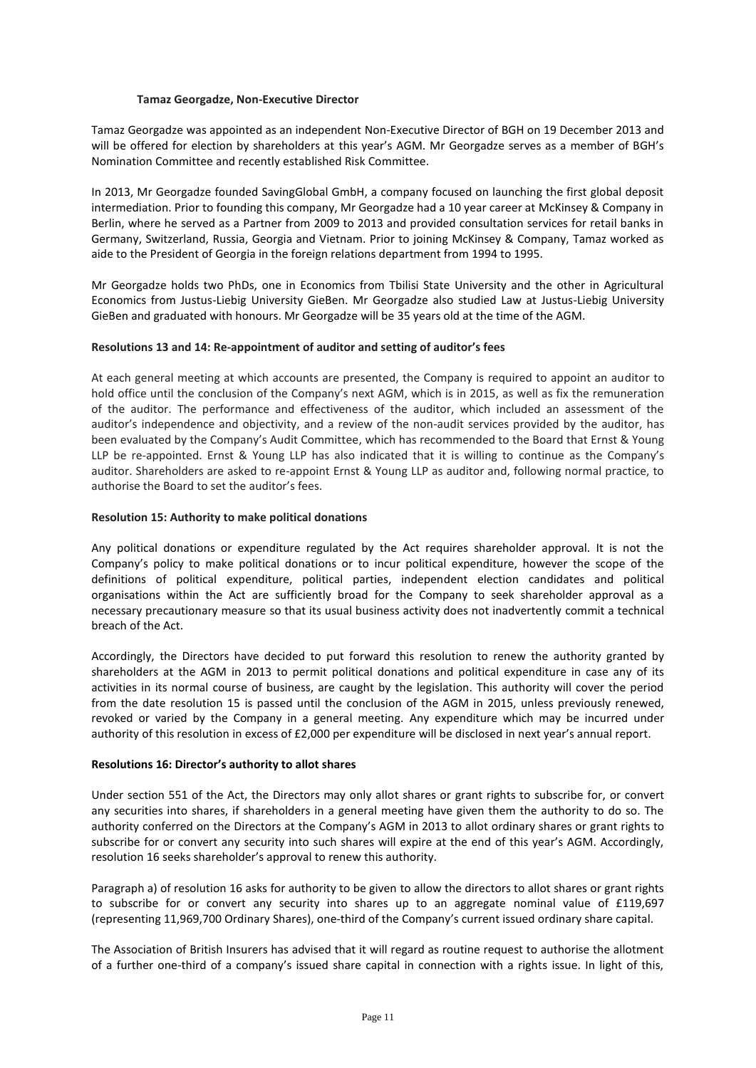### **Tamaz Georgadze, Non-Executive Director**

Tamaz Georgadze was appointed as an independent Non-Executive Director of BGH on 19 December 2013 and will be offered for election by shareholders at this year's AGM. Mr Georgadze serves as a member of BGH's Nomination Committee and recently established Risk Committee.

In 2013, Mr Georgadze founded SavingGlobal GmbH, a company focused on launching the first global deposit intermediation. Prior to founding this company, Mr Georgadze had a 10 year career at McKinsey & Company in Berlin, where he served as a Partner from 2009 to 2013 and provided consultation services for retail banks in Germany, Switzerland, Russia, Georgia and Vietnam. Prior to joining McKinsey & Company, Tamaz worked as aide to the President of Georgia in the foreign relations department from 1994 to 1995.

Mr Georgadze holds two PhDs, one in Economics from Tbilisi State University and the other in Agricultural Economics from Justus-Liebig University GieBen. Mr Georgadze also studied Law at Justus-Liebig University GieBen and graduated with honours. Mr Georgadze will be 35 years old at the time of the AGM.

### **Resolutions 13 and 14: Re-appointment of auditor and setting of auditor's fees**

At each general meeting at which accounts are presented, the Company is required to appoint an auditor to hold office until the conclusion of the Company's next AGM, which is in 2015, as well as fix the remuneration of the auditor. The performance and effectiveness of the auditor, which included an assessment of the auditor's independence and objectivity, and a review of the non-audit services provided by the auditor, has been evaluated by the Company's Audit Committee, which has recommended to the Board that Ernst & Young LLP be re-appointed. Ernst & Young LLP has also indicated that it is willing to continue as the Company's auditor. Shareholders are asked to re-appoint Ernst & Young LLP as auditor and, following normal practice, to authorise the Board to set the auditor's fees.

### **Resolution 15: Authority to make political donations**

Any political donations or expenditure regulated by the Act requires shareholder approval. It is not the Company's policy to make political donations or to incur political expenditure, however the scope of the definitions of political expenditure, political parties, independent election candidates and political organisations within the Act are sufficiently broad for the Company to seek shareholder approval as a necessary precautionary measure so that its usual business activity does not inadvertently commit a technical breach of the Act.

Accordingly, the Directors have decided to put forward this resolution to renew the authority granted by shareholders at the AGM in 2013 to permit political donations and political expenditure in case any of its activities in its normal course of business, are caught by the legislation. This authority will cover the period from the date resolution 15 is passed until the conclusion of the AGM in 2015, unless previously renewed, revoked or varied by the Company in a general meeting. Any expenditure which may be incurred under authority of this resolution in excess of £2,000 per expenditure will be disclosed in next year's annual report.

#### **Resolutions 16: Director's authority to allot shares**

Under section 551 of the Act, the Directors may only allot shares or grant rights to subscribe for, or convert any securities into shares, if shareholders in a general meeting have given them the authority to do so. The authority conferred on the Directors at the Company's AGM in 2013 to allot ordinary shares or grant rights to subscribe for or convert any security into such shares will expire at the end of this year's AGM. Accordingly, resolution 16 seeks shareholder's approval to renew this authority.

Paragraph a) of resolution 16 asks for authority to be given to allow the directors to allot shares or grant rights to subscribe for or convert any security into shares up to an aggregate nominal value of £119,697 (representing 11,969,700 Ordinary Shares), one-third of the Company's current issued ordinary share capital.

The Association of British Insurers has advised that it will regard as routine request to authorise the allotment of a further one-third of a company's issued share capital in connection with a rights issue. In light of this,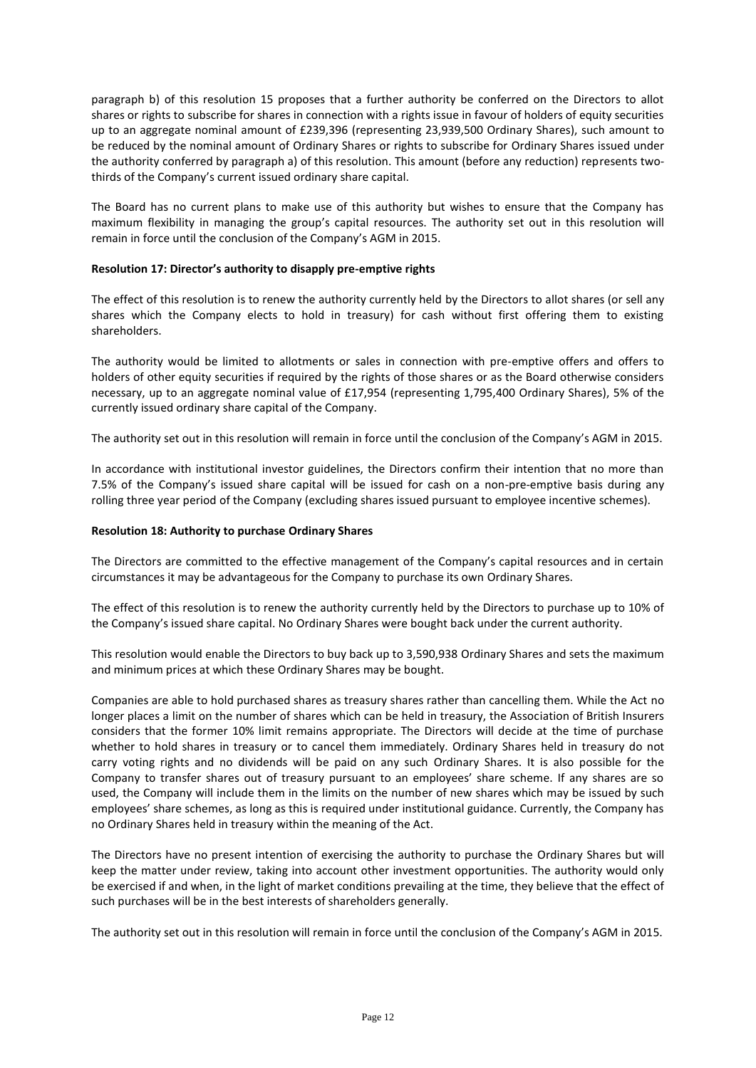paragraph b) of this resolution 15 proposes that a further authority be conferred on the Directors to allot shares or rights to subscribe for shares in connection with a rights issue in favour of holders of equity securities up to an aggregate nominal amount of £239,396 (representing 23,939,500 Ordinary Shares), such amount to be reduced by the nominal amount of Ordinary Shares or rights to subscribe for Ordinary Shares issued under the authority conferred by paragraph a) of this resolution. This amount (before any reduction) represents twothirds of the Company's current issued ordinary share capital.

The Board has no current plans to make use of this authority but wishes to ensure that the Company has maximum flexibility in managing the group's capital resources. The authority set out in this resolution will remain in force until the conclusion of the Company's AGM in 2015.

## **Resolution 17: Director's authority to disapply pre-emptive rights**

The effect of this resolution is to renew the authority currently held by the Directors to allot shares (or sell any shares which the Company elects to hold in treasury) for cash without first offering them to existing shareholders.

The authority would be limited to allotments or sales in connection with pre-emptive offers and offers to holders of other equity securities if required by the rights of those shares or as the Board otherwise considers necessary, up to an aggregate nominal value of £17,954 (representing 1,795,400 Ordinary Shares), 5% of the currently issued ordinary share capital of the Company.

The authority set out in this resolution will remain in force until the conclusion of the Company's AGM in 2015.

In accordance with institutional investor guidelines, the Directors confirm their intention that no more than 7.5% of the Company's issued share capital will be issued for cash on a non-pre-emptive basis during any rolling three year period of the Company (excluding shares issued pursuant to employee incentive schemes).

## **Resolution 18: Authority to purchase Ordinary Shares**

The Directors are committed to the effective management of the Company's capital resources and in certain circumstances it may be advantageous for the Company to purchase its own Ordinary Shares.

The effect of this resolution is to renew the authority currently held by the Directors to purchase up to 10% of the Company's issued share capital. No Ordinary Shares were bought back under the current authority.

This resolution would enable the Directors to buy back up to 3,590,938 Ordinary Shares and sets the maximum and minimum prices at which these Ordinary Shares may be bought.

Companies are able to hold purchased shares as treasury shares rather than cancelling them. While the Act no longer places a limit on the number of shares which can be held in treasury, the Association of British Insurers considers that the former 10% limit remains appropriate. The Directors will decide at the time of purchase whether to hold shares in treasury or to cancel them immediately. Ordinary Shares held in treasury do not carry voting rights and no dividends will be paid on any such Ordinary Shares. It is also possible for the Company to transfer shares out of treasury pursuant to an employees' share scheme. If any shares are so used, the Company will include them in the limits on the number of new shares which may be issued by such employees' share schemes, as long as this is required under institutional guidance. Currently, the Company has no Ordinary Shares held in treasury within the meaning of the Act.

The Directors have no present intention of exercising the authority to purchase the Ordinary Shares but will keep the matter under review, taking into account other investment opportunities. The authority would only be exercised if and when, in the light of market conditions prevailing at the time, they believe that the effect of such purchases will be in the best interests of shareholders generally.

The authority set out in this resolution will remain in force until the conclusion of the Company's AGM in 2015.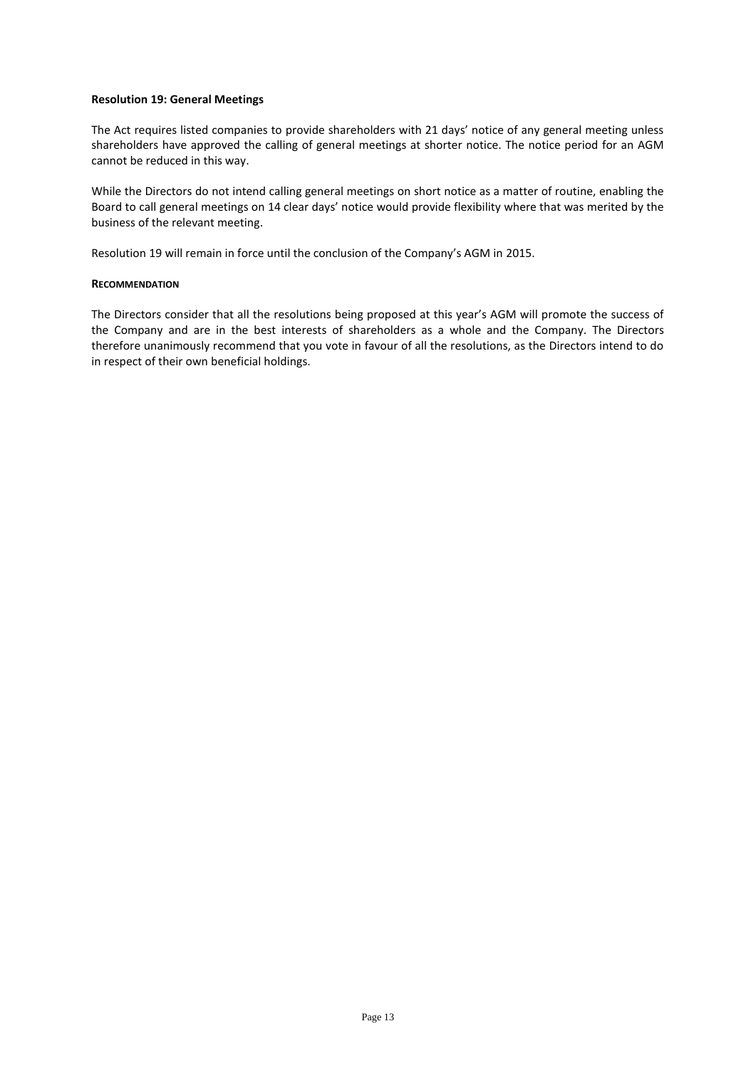### **Resolution 19: General Meetings**

The Act requires listed companies to provide shareholders with 21 days' notice of any general meeting unless shareholders have approved the calling of general meetings at shorter notice. The notice period for an AGM cannot be reduced in this way.

While the Directors do not intend calling general meetings on short notice as a matter of routine, enabling the Board to call general meetings on 14 clear days' notice would provide flexibility where that was merited by the business of the relevant meeting.

Resolution 19 will remain in force until the conclusion of the Company's AGM in 2015.

#### **RECOMMENDATION**

The Directors consider that all the resolutions being proposed at this year's AGM will promote the success of the Company and are in the best interests of shareholders as a whole and the Company. The Directors therefore unanimously recommend that you vote in favour of all the resolutions, as the Directors intend to do in respect of their own beneficial holdings.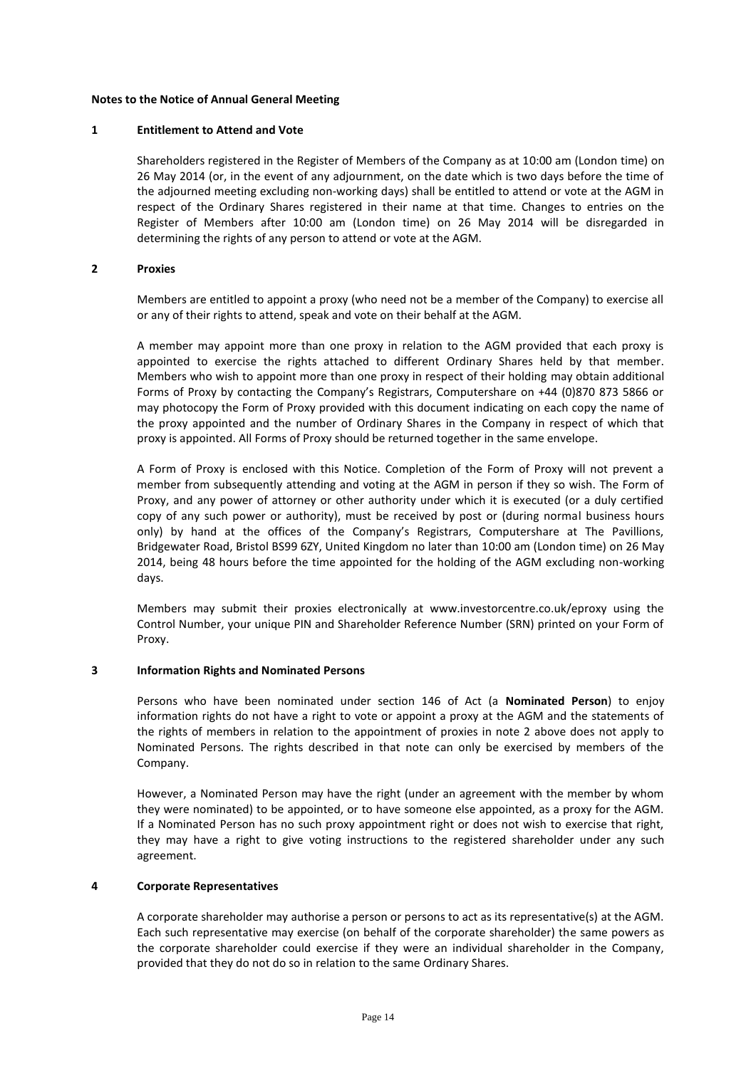### **Notes to the Notice of Annual General Meeting**

#### **1 Entitlement to Attend and Vote**

Shareholders registered in the Register of Members of the Company as at 10:00 am (London time) on 26 May 2014 (or, in the event of any adjournment, on the date which is two days before the time of the adjourned meeting excluding non-working days) shall be entitled to attend or vote at the AGM in respect of the Ordinary Shares registered in their name at that time. Changes to entries on the Register of Members after 10:00 am (London time) on 26 May 2014 will be disregarded in determining the rights of any person to attend or vote at the AGM.

### **2 Proxies**

Members are entitled to appoint a proxy (who need not be a member of the Company) to exercise all or any of their rights to attend, speak and vote on their behalf at the AGM.

A member may appoint more than one proxy in relation to the AGM provided that each proxy is appointed to exercise the rights attached to different Ordinary Shares held by that member. Members who wish to appoint more than one proxy in respect of their holding may obtain additional Forms of Proxy by contacting the Company's Registrars, Computershare on +44 (0)870 873 5866 or may photocopy the Form of Proxy provided with this document indicating on each copy the name of the proxy appointed and the number of Ordinary Shares in the Company in respect of which that proxy is appointed. All Forms of Proxy should be returned together in the same envelope.

A Form of Proxy is enclosed with this Notice. Completion of the Form of Proxy will not prevent a member from subsequently attending and voting at the AGM in person if they so wish. The Form of Proxy, and any power of attorney or other authority under which it is executed (or a duly certified copy of any such power or authority), must be received by post or (during normal business hours only) by hand at the offices of the Company's Registrars, Computershare at The Pavillions, Bridgewater Road, Bristol BS99 6ZY, United Kingdom no later than 10:00 am (London time) on 26 May 2014, being 48 hours before the time appointed for the holding of the AGM excluding non-working days.

Members may submit their proxies electronically at www.investorcentre.co.uk/eproxy using the Control Number, your unique PIN and Shareholder Reference Number (SRN) printed on your Form of Proxy.

## **3 Information Rights and Nominated Persons**

Persons who have been nominated under section 146 of Act (a **Nominated Person**) to enjoy information rights do not have a right to vote or appoint a proxy at the AGM and the statements of the rights of members in relation to the appointment of proxies in note 2 above does not apply to Nominated Persons. The rights described in that note can only be exercised by members of the Company.

However, a Nominated Person may have the right (under an agreement with the member by whom they were nominated) to be appointed, or to have someone else appointed, as a proxy for the AGM. If a Nominated Person has no such proxy appointment right or does not wish to exercise that right, they may have a right to give voting instructions to the registered shareholder under any such agreement.

## **4 Corporate Representatives**

A corporate shareholder may authorise a person or persons to act as its representative(s) at the AGM. Each such representative may exercise (on behalf of the corporate shareholder) the same powers as the corporate shareholder could exercise if they were an individual shareholder in the Company, provided that they do not do so in relation to the same Ordinary Shares.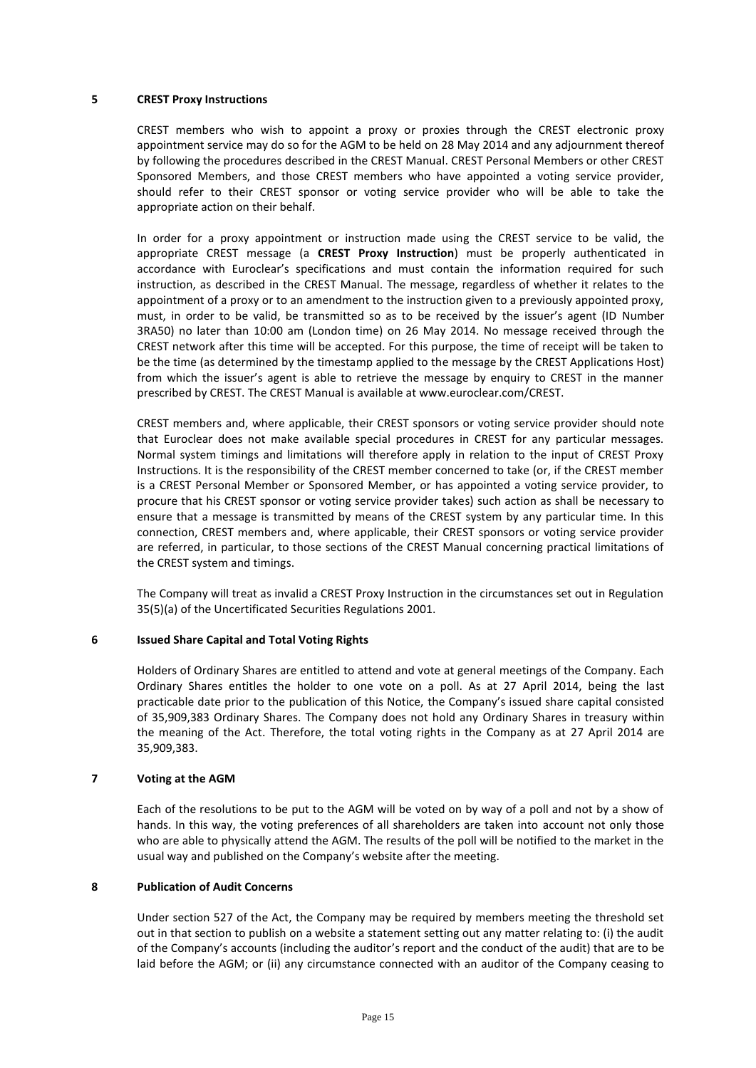### **5 CREST Proxy Instructions**

CREST members who wish to appoint a proxy or proxies through the CREST electronic proxy appointment service may do so for the AGM to be held on 28 May 2014 and any adjournment thereof by following the procedures described in the CREST Manual. CREST Personal Members or other CREST Sponsored Members, and those CREST members who have appointed a voting service provider, should refer to their CREST sponsor or voting service provider who will be able to take the appropriate action on their behalf.

In order for a proxy appointment or instruction made using the CREST service to be valid, the appropriate CREST message (a **CREST Proxy Instruction**) must be properly authenticated in accordance with Euroclear's specifications and must contain the information required for such instruction, as described in the CREST Manual. The message, regardless of whether it relates to the appointment of a proxy or to an amendment to the instruction given to a previously appointed proxy, must, in order to be valid, be transmitted so as to be received by the issuer's agent (ID Number 3RA50) no later than 10:00 am (London time) on 26 May 2014. No message received through the CREST network after this time will be accepted. For this purpose, the time of receipt will be taken to be the time (as determined by the timestamp applied to the message by the CREST Applications Host) from which the issuer's agent is able to retrieve the message by enquiry to CREST in the manner prescribed by CREST. The CREST Manual is available at www.euroclear.com/CREST.

CREST members and, where applicable, their CREST sponsors or voting service provider should note that Euroclear does not make available special procedures in CREST for any particular messages. Normal system timings and limitations will therefore apply in relation to the input of CREST Proxy Instructions. It is the responsibility of the CREST member concerned to take (or, if the CREST member is a CREST Personal Member or Sponsored Member, or has appointed a voting service provider, to procure that his CREST sponsor or voting service provider takes) such action as shall be necessary to ensure that a message is transmitted by means of the CREST system by any particular time. In this connection, CREST members and, where applicable, their CREST sponsors or voting service provider are referred, in particular, to those sections of the CREST Manual concerning practical limitations of the CREST system and timings.

The Company will treat as invalid a CREST Proxy Instruction in the circumstances set out in Regulation 35(5)(a) of the Uncertificated Securities Regulations 2001.

#### **6 Issued Share Capital and Total Voting Rights**

Holders of Ordinary Shares are entitled to attend and vote at general meetings of the Company. Each Ordinary Shares entitles the holder to one vote on a poll. As at 27 April 2014, being the last practicable date prior to the publication of this Notice, the Company's issued share capital consisted of 35,909,383 Ordinary Shares. The Company does not hold any Ordinary Shares in treasury within the meaning of the Act. Therefore, the total voting rights in the Company as at 27 April 2014 are 35,909,383.

### **7 Voting at the AGM**

Each of the resolutions to be put to the AGM will be voted on by way of a poll and not by a show of hands. In this way, the voting preferences of all shareholders are taken into account not only those who are able to physically attend the AGM. The results of the poll will be notified to the market in the usual way and published on the Company's website after the meeting.

# **8 Publication of Audit Concerns**

Under section 527 of the Act, the Company may be required by members meeting the threshold set out in that section to publish on a website a statement setting out any matter relating to: (i) the audit of the Company's accounts (including the auditor's report and the conduct of the audit) that are to be laid before the AGM; or (ii) any circumstance connected with an auditor of the Company ceasing to